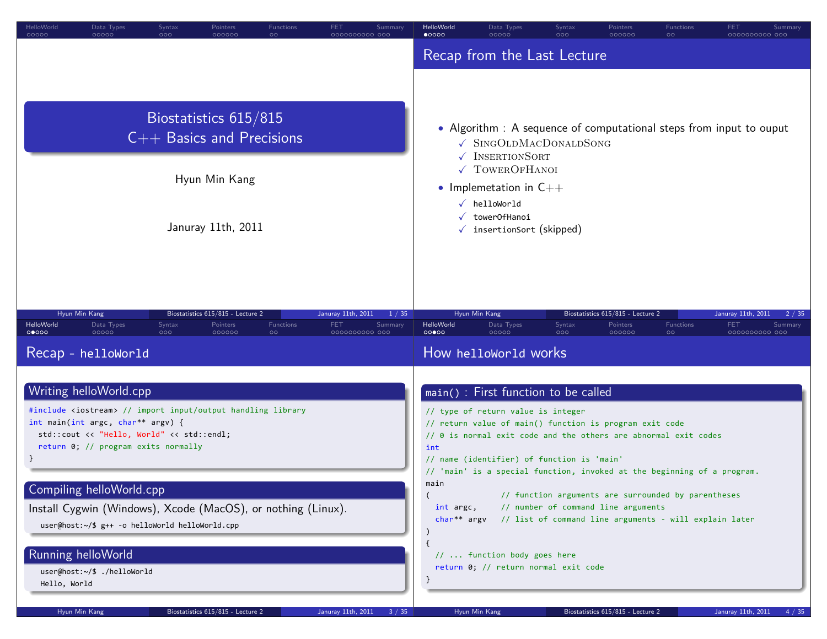| FET.<br>HelloWorld<br>Data Types<br>Functions<br>Syntax<br>Pointers<br>Summary<br>00000<br>00000<br>000000<br>$\circ$<br>000<br>0000000000 000                                                                                                                                                                                                                                             | HelloWorld<br>Data Types<br><b>Functions</b><br>Syntax<br>Pointers<br>FET<br>Summary<br>$\bullet$ 0000<br>00000<br>000000<br>$\circ$<br>0000000000 000<br>000                                                                                                                                                                                                                                                                                                                                                                          |
|--------------------------------------------------------------------------------------------------------------------------------------------------------------------------------------------------------------------------------------------------------------------------------------------------------------------------------------------------------------------------------------------|----------------------------------------------------------------------------------------------------------------------------------------------------------------------------------------------------------------------------------------------------------------------------------------------------------------------------------------------------------------------------------------------------------------------------------------------------------------------------------------------------------------------------------------|
|                                                                                                                                                                                                                                                                                                                                                                                            | Recap from the Last Lecture                                                                                                                                                                                                                                                                                                                                                                                                                                                                                                            |
| Biostatistics 615/815<br>$C++$ Basics and Precisions<br>Hyun Min Kang                                                                                                                                                                                                                                                                                                                      | • Algorithm : A sequence of computational steps from input to ouput<br>√ SINGOLDMACDONALDSONG<br>V INSERTIONSORT<br>√ TOWEROFHANOI<br>• Implemetation in $C++$                                                                                                                                                                                                                                                                                                                                                                         |
| Januray 11th, 2011                                                                                                                                                                                                                                                                                                                                                                         | $\checkmark$ helloWorld<br>√ towerOfHanoi<br>$\checkmark$ insertionSort (skipped)                                                                                                                                                                                                                                                                                                                                                                                                                                                      |
| Hyun Min Kang<br>Biostatistics 615/815 - Lecture 2<br>Januray 11th, 2011<br>1 / 35<br>HelloWorld<br>Syntax<br>Functions<br>FET.<br>Summary<br>Data Types<br>Pointers<br>00000<br>00000<br>000000<br>000<br>$\circ$<br>0000000000 000<br>Recap - helloWorld                                                                                                                                 | Hyun Min Kang<br>Biostatistics 615/815 - Lecture 2<br>Januray 11th, 2011<br>2 / 35<br>HelloWorld<br>Functions<br>Data Types<br>Syntax<br>Pointers<br><b>FET</b><br>Summary<br>00000<br>00000<br>000<br>000000<br>$\circ$<br>0000000000 000<br>How helloworld works                                                                                                                                                                                                                                                                     |
| Writing helloWorld.cpp<br>#include <iostream> // import input/output handling library<br/>int main(int argc, char** argv) {<br/>std::cout &lt;&lt; "Hello, World" &lt;&lt; std::endl;<br/>return 0; // program exits normally<br/>Compiling helloWorld.cpp<br/>Install Cygwin (Windows), Xcode (MacOS), or nothing (Linux).<br/>user@host:~/\$ g++ -o helloWorld helloWorld.cpp</iostream> | main() : First function to be called<br>// type of return value is integer<br>// return value of main() function is program exit code<br>// 0 is normal exit code and the others are abnormal exit codes<br>int<br>// name (identifier) of function is 'main'<br>// 'main' is a special function, invoked at the beginning of a program.<br>main<br>// function arguments are surrounded by parentheses<br>// number of command line arguments<br>int argc,<br>// list of command line arguments - will explain later<br>$char**$ argv |
| Running helloWorld<br>user@host:~/\$ ./helloWorld<br>Hello, World                                                                                                                                                                                                                                                                                                                          | //  function body goes here<br>return 0; // return normal exit code                                                                                                                                                                                                                                                                                                                                                                                                                                                                    |
| Hyun Min Kang<br>Biostatistics 615/815 - Lecture 2<br>Januray 11th, 2011<br>3 / 35                                                                                                                                                                                                                                                                                                         | Hyun Min Kang<br>Biostatistics 615/815 - Lecture 2<br>Januray 11th, 2011<br>4 / 35                                                                                                                                                                                                                                                                                                                                                                                                                                                     |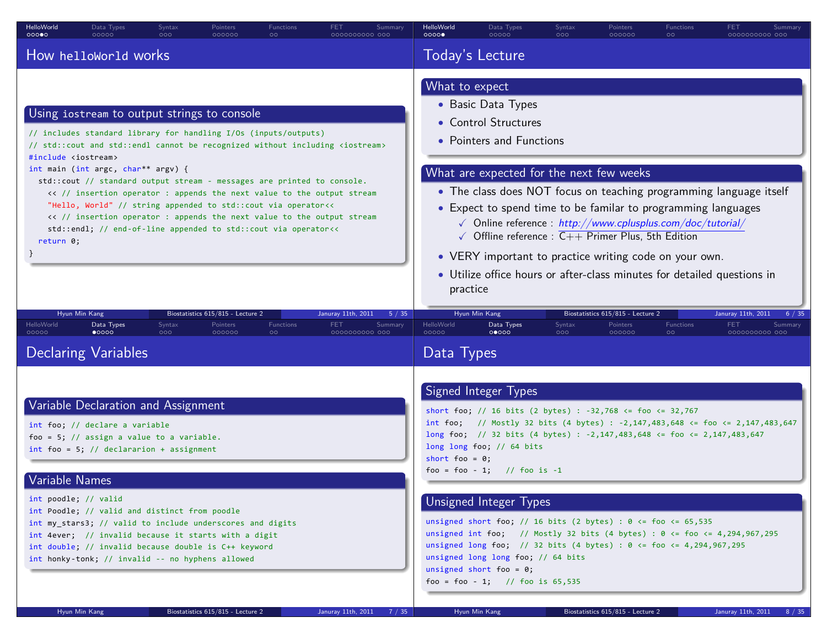| HelloWorld<br>Data Types<br>Syntax<br>Pointers<br>Functions<br>00000<br>00000<br>000<br>000000<br>$\circ$                                                                                                                                                                                                                                                                                                                                                                                                                                                                                                                                                                                       | FET<br>Summary<br>aaaaaaaaaa aac                                        | HelloWorld<br>00000                                                                                                                                                                                                                                                                                                                                                                                                                                                                                                                                                            | Data Types<br>00000                                                                                                                                                                                                                                                                                                          | Syntax<br>000 | Pointers<br>000000                                      | Functions<br>$\circ$ | FET<br>Summary<br>0000000000 000                                                |
|-------------------------------------------------------------------------------------------------------------------------------------------------------------------------------------------------------------------------------------------------------------------------------------------------------------------------------------------------------------------------------------------------------------------------------------------------------------------------------------------------------------------------------------------------------------------------------------------------------------------------------------------------------------------------------------------------|-------------------------------------------------------------------------|--------------------------------------------------------------------------------------------------------------------------------------------------------------------------------------------------------------------------------------------------------------------------------------------------------------------------------------------------------------------------------------------------------------------------------------------------------------------------------------------------------------------------------------------------------------------------------|------------------------------------------------------------------------------------------------------------------------------------------------------------------------------------------------------------------------------------------------------------------------------------------------------------------------------|---------------|---------------------------------------------------------|----------------------|---------------------------------------------------------------------------------|
| How helloworld works                                                                                                                                                                                                                                                                                                                                                                                                                                                                                                                                                                                                                                                                            |                                                                         | Today's Lecture                                                                                                                                                                                                                                                                                                                                                                                                                                                                                                                                                                |                                                                                                                                                                                                                                                                                                                              |               |                                                         |                      |                                                                                 |
| Using iostream to output strings to console<br>// includes standard library for handling I/Os (inputs/outputs)<br>// std::cout and std::endl cannot be recognized without including <iostream><br/>#include <iostream><br/>int main (int argc, char** argv) {<br/>std::cout // standard output stream - messages are printed to console.<br/>&lt;&lt; // insertion operator : appends the next value to the output stream<br/>"Hello, World" // string appended to std::cout via operator&lt;&lt;<br/>&lt;&lt; // insertion operator : appends the next value to the output stream<br/>std::endl; // end-of-line appended to std::cout via operator&lt;&lt;<br/>return 0;</iostream></iostream> |                                                                         | What to expect<br>• Basic Data Types<br>• Control Structures<br>• Pointers and Functions<br>What are expected for the next few weeks<br>• The class does NOT focus on teaching programming language itself<br>• Expect to spend time to be familar to programming languages<br>$\sqrt{\phantom{a}}$ Online reference : http://www.cplusplus.com/doc/tutorial/<br>$\sqrt{ }$ Offline reference : $\overline{C++}$ Primer Plus, 5th Edition<br>• VERY important to practice writing code on your own.<br>• Utilize office hours or after-class minutes for detailed questions in |                                                                                                                                                                                                                                                                                                                              |               |                                                         |                      |                                                                                 |
| Biostatistics 615/815 - Lecture 2<br>Hyun Min Kang<br><b>HelloWorld</b><br>Data Types<br>Syntax<br>Pointers<br>Functions<br>00000<br>$\bullet$ 0000<br>000 <sub>o</sub><br>000000<br>$\circ$                                                                                                                                                                                                                                                                                                                                                                                                                                                                                                    | Januray 11th, 2011<br>5 / 35<br><b>FET</b><br>Summary<br>0000000000 000 | practice<br>HelloWorld<br>00000                                                                                                                                                                                                                                                                                                                                                                                                                                                                                                                                                | Hyun Min Kang<br>Data Types<br>00000                                                                                                                                                                                                                                                                                         | Syntax<br>000 | Biostatistics 615/815 - Lecture 2<br>Pointers<br>000000 | Functions<br>$\circ$ | Januray 11th, 2011<br>6 / 35<br><b>FET</b><br>Summary<br>0000000000 000         |
| <b>Declaring Variables</b>                                                                                                                                                                                                                                                                                                                                                                                                                                                                                                                                                                                                                                                                      |                                                                         | Data Types                                                                                                                                                                                                                                                                                                                                                                                                                                                                                                                                                                     |                                                                                                                                                                                                                                                                                                                              |               |                                                         |                      |                                                                                 |
| Variable Declaration and Assignment<br>int foo; // declare a variable<br>foo = 5; // assign a value to a variable.<br>$int$ foo = 5; // declararion + assignment<br>Variable Names<br>int poodle; // valid<br>int Poodle; // valid and distinct from poodle<br>int my_stars3; // valid to include underscores and digits                                                                                                                                                                                                                                                                                                                                                                        |                                                                         | short foo = $0$ ;                                                                                                                                                                                                                                                                                                                                                                                                                                                                                                                                                              | Signed Integer Types<br>short foo; // 16 bits (2 bytes) : -32,768 <= foo <= 32,767<br>long foo; // 32 bits (4 bytes) : -2,147,483,648 <= foo <= 2,147,483,647<br>long long foo; $// 64 bits$<br>foo = foo - 1; // foo is -1<br>Unsigned Integer Types<br>unsigned short foo; // 16 bits (2 bytes) : $0 \le$ foo $\le$ 65,535 |               |                                                         |                      | int foo; // Mostly 32 bits (4 bytes) : -2,147,483,648 <= foo <= 2,147,483,647   |
| int 4ever; // invalid because it starts with a digit<br>int double; // invalid because double is C++ keyword<br>int honky-tonk; // invalid -- no hyphens allowed                                                                                                                                                                                                                                                                                                                                                                                                                                                                                                                                |                                                                         |                                                                                                                                                                                                                                                                                                                                                                                                                                                                                                                                                                                | unsigned long foo; // 32 bits (4 bytes) : $0 \le f$ foo $\le 4,294,967,295$<br>unsigned long long foo; // 64 bits<br>unsigned short foo = $0$ ;<br>foo = foo - 1; // foo is $65,535$                                                                                                                                         |               |                                                         |                      | unsigned int foo; // Mostly 32 bits (4 bytes) : $0 \le$ foo $\le$ 4,294,967,295 |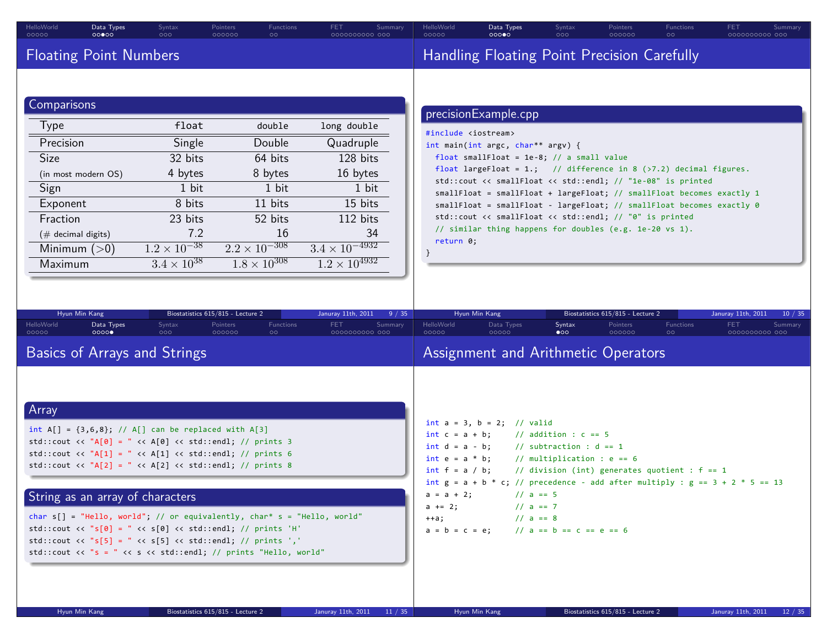| <b>Floating Point Numbers</b><br>Handling Floating Point Precision Carefully | HelloWorld<br>Data Types<br>Pointers<br>Syntax<br>000000<br>00000<br>000 | <b>FET</b><br>HelloWorld<br>Data Types<br>Pointers<br>Functions<br>Syntax<br>000<br>000000<br>00000<br>00000<br>$\circ$ | Summary<br>0000000000 000 |
|------------------------------------------------------------------------------|--------------------------------------------------------------------------|-------------------------------------------------------------------------------------------------------------------------|---------------------------|
|                                                                              |                                                                          |                                                                                                                         |                           |
|                                                                              |                                                                          |                                                                                                                         |                           |
| <b>Comparisons</b><br>precisionExample.cpp<br>Tyne                           |                                                                          |                                                                                                                         |                           |

| <b>Type</b>           | float                 | double                 | long double             |
|-----------------------|-----------------------|------------------------|-------------------------|
| Precision             | Single                | Double                 | Quadruple               |
| <b>Size</b>           | 32 bits               | 64 bits                | 128 bits                |
| (in most modern OS)   | 4 bytes               | 8 bytes                | 16 bytes                |
| Sign                  | 1 bit                 | 1 bit                  | 1 bit                   |
| Exponent              | 8 bits                | 11 bits                | 15 bits                 |
| Fraction              | 23 bits               | 52 bits                | 112 bits                |
| $(\#$ decimal digits) | 7.2                   | 16                     | 34                      |
| Minimum $(>0)$        | $1.2 \times 10^{-38}$ | $2.2 \times 10^{-308}$ | $3.4 \times 10^{-4932}$ |
| Maximum               | $3.4 \times 10^{38}$  | $1.8 \times 10^{308}$  | $1.2 \times 10^{4932}$  |
|                       |                       |                        |                         |

#include <iostream> int main(int argc, char\*\* argv) { float smallFloat = 1e-8; // a small value float largeFloat = 1.; // difference in 8  $(\times 7.2)$  decimal figures. std::cout << smallFloat << std::endl; // "1e-08" is printed smallFloat = smallFloat + largeFloat; // smallFloat becomes exactly 1 smallFloat = smallFloat - largeFloat; // smallFloat becomes exactly 0 std::cout << smallFloat << std::endl; // "0" is printed // similar thing happens for doubles (e.g. 1e-20 vs 1). return 0;

.. .

| Hyun Min Kang                                                                                                                                                                                                                                                                                                                                                                                                                                                                                                                                                                                  |                            | Biostatistics 615/815 - Lecture 2 |                      | Januray 11th, 2011           | 9/35    |                     | Hyun Min Kang                                                                                                                                                                                                                                                                                                                                                                                                                                          |                     | Biostatistics 615/815 - Lecture 2 |                      | Januray 11th, 2011     | 10/35   |
|------------------------------------------------------------------------------------------------------------------------------------------------------------------------------------------------------------------------------------------------------------------------------------------------------------------------------------------------------------------------------------------------------------------------------------------------------------------------------------------------------------------------------------------------------------------------------------------------|----------------------------|-----------------------------------|----------------------|------------------------------|---------|---------------------|--------------------------------------------------------------------------------------------------------------------------------------------------------------------------------------------------------------------------------------------------------------------------------------------------------------------------------------------------------------------------------------------------------------------------------------------------------|---------------------|-----------------------------------|----------------------|------------------------|---------|
| HelloWorld<br>Data Types<br>00000<br>0000                                                                                                                                                                                                                                                                                                                                                                                                                                                                                                                                                      | Syntax<br>000 <sub>o</sub> | Pointers<br>000000                | Functions<br>$\circ$ | <b>FET</b><br>0000000000 000 | Summary | HelloWorld<br>00000 | Data Types<br>00000                                                                                                                                                                                                                                                                                                                                                                                                                                    | Syntax<br>$\bullet$ | Pointers<br>000000                | Functions<br>$\circ$ | FET.<br>0000000000 000 | Summary |
| <b>Basics of Arrays and Strings</b>                                                                                                                                                                                                                                                                                                                                                                                                                                                                                                                                                            |                            |                                   |                      |                              |         |                     | Assignment and Arithmetic Operators                                                                                                                                                                                                                                                                                                                                                                                                                    |                     |                                   |                      |                        |         |
| Array<br>int $A[] = \{3,6,8\}; // A[] can be replaced with A[3]$<br>std::cout << $'A[0] = " << A[0] << std::end]; // prints 3$<br>std::cout << "A[1] = " << A[1] << std::endl; // prints 6<br>std::cout << $'A[2] = " << A[2] << std::end]; // prints 8$<br>String as an array of characters<br>char $s[] = "Hello, world"; // or equivalently, char* s = "Hello, world"$<br>std::cout << $\text{"s[0]} = \text{"s[0]} \lt\lt \text{std::end}; // prints 'H'$<br>std::cout << "s[5] = " << s[5] << std::endl; // prints ','<br>std::cout << "s = " << s << std::endl; // prints "Hello, world" |                            |                                   |                      |                              |         | $++a;$              | int $a = 3$ , $b = 2$ ; // valid<br>int $c = a + b$ ; // addition : $c == 5$<br>int $d = a - b$ ; // subtraction : $d == 1$<br>int $e = a * b$ ; // multiplication : $e == 6$<br>int $f = a / b$ ; // division (int) generates quotient : $f = 1$<br>int $g = a + b * c$ ; // precedence - add after multiply : $g == 3 + 2 * 5 == 13$<br>$a = a + 2$ ; // $a = 5$<br>$a == 2;$ // $a == 7$<br>$// a == 8$<br>$a = b = c = e$ ; // $a = b = c = e = 6$ |                     |                                   |                      |                        |         |

. }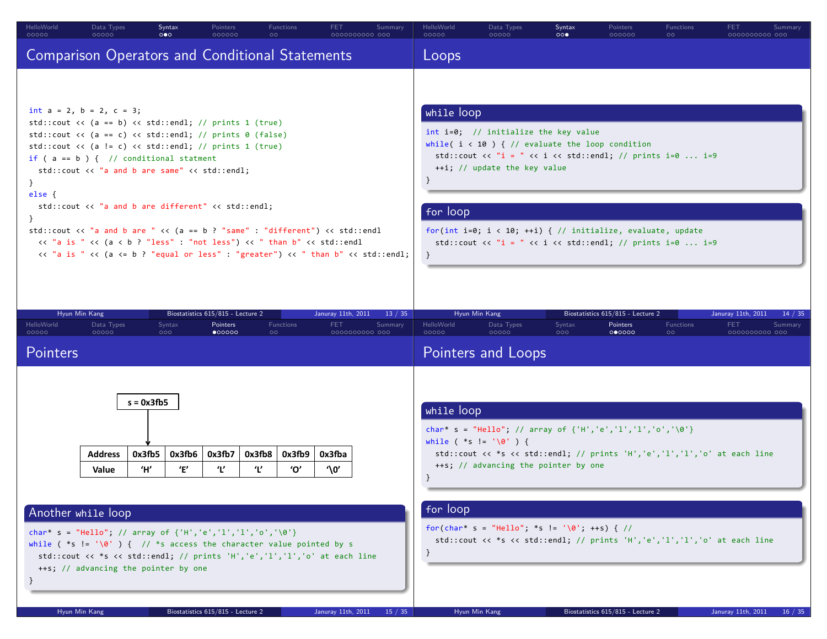| HelloWorld<br>00000                              | Data Types<br>00000                                                                                                                                                                                                                                                                                                                                                                                                                                                                                                                                                                                                                                                  | Syntax<br>$\circ \bullet \circ$                | Pointers<br>000000                                               | <b>Functions</b><br>$\circ$   | <b>FET</b><br>0000000000 000                       | Summary                                                                                                                                                                                                                                                                                                                                               | HelloWorld<br>00000         | Data Types<br>00000                                                                                                                                                                                    | Syntax<br>$\circ \circ \bullet$ | Pointers<br>000000                                      | Functions<br>$\circ$ | <b>FET</b><br>0000000000 000                       | Summary            |
|--------------------------------------------------|----------------------------------------------------------------------------------------------------------------------------------------------------------------------------------------------------------------------------------------------------------------------------------------------------------------------------------------------------------------------------------------------------------------------------------------------------------------------------------------------------------------------------------------------------------------------------------------------------------------------------------------------------------------------|------------------------------------------------|------------------------------------------------------------------|-------------------------------|----------------------------------------------------|-------------------------------------------------------------------------------------------------------------------------------------------------------------------------------------------------------------------------------------------------------------------------------------------------------------------------------------------------------|-----------------------------|--------------------------------------------------------------------------------------------------------------------------------------------------------------------------------------------------------|---------------------------------|---------------------------------------------------------|----------------------|----------------------------------------------------|--------------------|
|                                                  | <b>Comparison Operators and Conditional Statements</b>                                                                                                                                                                                                                                                                                                                                                                                                                                                                                                                                                                                                               |                                                |                                                                  |                               |                                                    |                                                                                                                                                                                                                                                                                                                                                       | Loops                       |                                                                                                                                                                                                        |                                 |                                                         |                      |                                                    |                    |
| $\mathcal{F}$<br>else {                          | int $a = 2$ , $b = 2$ , $c = 3$ ;<br>std::cout << $(a == b)$ << $std::end1$ ; // prints 1 $(true)$<br>std::cout << (a == c) << std::endl; // prints 0 (false)<br>std::cout $\langle \langle a \rangle$ = c) $\langle \langle s \rangle$ std::endl; // prints 1 (true)<br>if ( $a == b$ ) { // conditional statment<br>std::cout << "a and b are same" << std::endl;<br>std::cout << "a and b are different" << std::endl;<br>std::cout << "a and b are " << (a == b ? "same" : "different") << std::endl<br><< "a is " << (a < b ? "less" : "not less") << " than b" << std::endl<br><< "a is " << (a <= b ? "equal or less" : "greater") << " than b" << std::endl; |                                                |                                                                  |                               |                                                    | while loop<br>int i=0; // initialize the key value<br>while( $i < 10$ ) { // evaluate the loop condition<br>std::cout << "i = " << i << std::endl; // prints i=0  i=9<br>++i; // update the key value<br>for loop<br>for(int i=0; i < 10; ++i) { // initialize, evaluate, update<br>std::cout << "i = " << i << std::endl; // prints i=0  i=9<br>$\}$ |                             |                                                                                                                                                                                                        |                                 |                                                         |                      |                                                    |                    |
| Hyun Min Kang<br>HelloWorld<br>00000<br>Pointers | Data Types<br>00000                                                                                                                                                                                                                                                                                                                                                                                                                                                                                                                                                                                                                                                  | Syntax<br>000                                  | Biostatistics 615/815 - Lecture 2<br>Pointers<br>$\bullet$ 00000 | Functions<br>$\circ$          | Januray 11th, 2011<br><b>FET</b><br>0000000000 000 | 13 / 35<br>Summary                                                                                                                                                                                                                                                                                                                                    | HelloWorld<br>00000         | Hyun Min Kang<br>Data Types<br>00000<br>Pointers and Loops                                                                                                                                             | Syntax<br>000                   | Biostatistics 615/815 - Lecture 2<br>Pointers<br>000000 | Functions<br>$\circ$ | Januray 11th, 2011<br><b>FET</b><br>0000000000 000 | 14 / 35<br>Summary |
|                                                  | <b>Address</b><br>Value                                                                                                                                                                                                                                                                                                                                                                                                                                                                                                                                                                                                                                              | $s = 0x3fb5$<br>0x3fb5<br>0x3fb6<br>'н'<br>'Ε' | 0x3fb7<br>'Ľ                                                     | 0x3fb8<br>0x3fb9<br>'Ľ<br>'Ο' | 0x3fba<br>'\0'                                     |                                                                                                                                                                                                                                                                                                                                                       | while loop<br>$\rightarrow$ | char* s = "Hello"; // array of {'H','e','l','l','o','\0'}<br>while $(*s != '0')$ {<br>std::cout << *s << std::endl; // prints 'H','e','l','l','o' at each line<br>++s; // advancing the pointer by one |                                 |                                                         |                      |                                                    |                    |
| Another while loop<br>}                          | char* s = "Hello"; // array of $\{H', 'e', '1', '1', 'o', '0'\}$<br>while ( *s != '\0' ) { // *s access the character value pointed by s<br>std::cout << *s << std::endl; // prints 'H','e','l','l','o' at each line<br>++s; // advancing the pointer by one                                                                                                                                                                                                                                                                                                                                                                                                         |                                                |                                                                  |                               |                                                    |                                                                                                                                                                                                                                                                                                                                                       | for loop<br>}               | for(char* s = "Hello"; *s != '\0'; ++s) { //<br>std::cout << *s << std::endl; // prints 'H','e','l','l','o' at each line                                                                               |                                 |                                                         |                      |                                                    |                    |
|                                                  | Hyun Min Kang                                                                                                                                                                                                                                                                                                                                                                                                                                                                                                                                                                                                                                                        |                                                | Biostatistics 615/815 - Lecture 2                                |                               | Januray 11th, 2011                                 | 15 / 35                                                                                                                                                                                                                                                                                                                                               |                             | Hyun Min Kang                                                                                                                                                                                          |                                 | Biostatistics 615/815 - Lecture 2                       |                      | Januray 11th, 2011                                 |                    |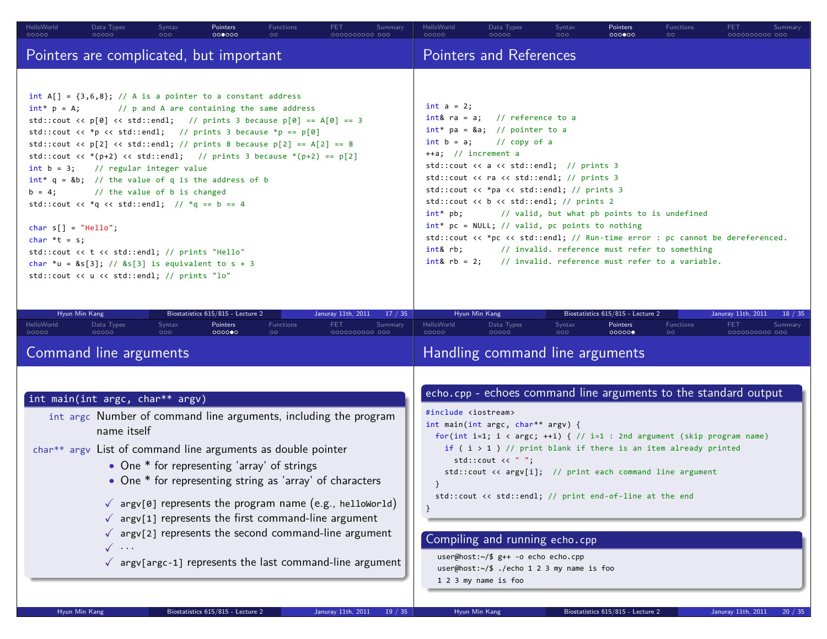| HelloWorld<br>00000                      | Data Types<br>00000                                                                                                                                                                                                                                                                                                                                                                                                                                                                                                                                                                                                                                                                                                                                                                             | Syntax<br>000 <sub>o</sub> | Pointers<br>000000 | <b>Functions</b><br>$\circ$ | <b>FET</b><br>0000000000 000 | Summary                        | HelloWorld<br>00000                                | Data Types<br>00000                                                                                                                                                                                                                                                                                                                                                                                                                                                                                          | Syntax<br>000 | Pointers<br>000000 | <b>Functions</b><br>$\circ$                                                                                                                                                                      | <b>FET</b><br>0000000000 000 | Summary |  |  |
|------------------------------------------|-------------------------------------------------------------------------------------------------------------------------------------------------------------------------------------------------------------------------------------------------------------------------------------------------------------------------------------------------------------------------------------------------------------------------------------------------------------------------------------------------------------------------------------------------------------------------------------------------------------------------------------------------------------------------------------------------------------------------------------------------------------------------------------------------|----------------------------|--------------------|-----------------------------|------------------------------|--------------------------------|----------------------------------------------------|--------------------------------------------------------------------------------------------------------------------------------------------------------------------------------------------------------------------------------------------------------------------------------------------------------------------------------------------------------------------------------------------------------------------------------------------------------------------------------------------------------------|---------------|--------------------|--------------------------------------------------------------------------------------------------------------------------------------------------------------------------------------------------|------------------------------|---------|--|--|
|                                          | Pointers are complicated, but important                                                                                                                                                                                                                                                                                                                                                                                                                                                                                                                                                                                                                                                                                                                                                         |                            |                    |                             |                              | <b>Pointers and References</b> |                                                    |                                                                                                                                                                                                                                                                                                                                                                                                                                                                                                              |               |                    |                                                                                                                                                                                                  |                              |         |  |  |
| char $s[] = "Hello";$<br>char $*t = s$ ; | int $A[] = \{3,6,8\}$ ; // A is a pointer to a constant address<br>$int* p = A;$ // p and A are containing the same address<br>std::cout << $p[0]$ << std::endl; // prints 3 because $p[0] == A[0] == 3$<br>std::cout << *p << std::endl; // prints 3 because *p == $p[0]$<br>std::cout << $p[2]$ << $std$ ::endl; // prints 8 because $p[2] == A[2] == 8$<br>std::cout << * (p+2) << std::endl; // prints 3 because * (p+2) == $p[2]$<br>$int b = 3$ ; // regular integer value<br>$int^* q = 8b$ ; // the value of q is the address of b<br>$b = 4$ ; // the value of b is changed<br>std::cout << *q << std::endl; // *q == b == 4<br>std::cout << t << std::endl; // prints "Hello"<br>char *u = $8s[3]$ ; // $8s[3]$ is equivalent to s + 3<br>std::cout << u << std::endl; // prints "lo" |                            |                    |                             |                              |                                | $int a = 2;$<br>$++a$ ; // increment a<br>int& rb; | $int& ra = a;$ // reference to a<br>$int*$ pa = &a // pointer to a<br>$int b = a$ ; // copy of a<br>std::cout $\langle \langle a \rangle$ a $\langle \langle c \rangle$ std::endl; // prints 3<br>std::cout $\langle \rangle$ ra $\langle \rangle$ std::endl; // prints 3<br>std::cout << *pa << std::endl; // prints 3<br>std::cout $\langle \rangle$ b $\langle \rangle$ std::endl; // prints 2<br>int* pb; // valid, but what pb points to is undefined<br>int* pc = NULL; // valid, pc points to nothing |               |                    | std::cout << *pc << std::endl; // Run-time error : pc cannot be dereferenced.<br>// invalid. reference must refer to something<br>$int& rb = 2;$ // invalid. reference must refer to a variable. |                              |         |  |  |

|                     | Hyun Min Kang                                                                                                                                                                                    |               | Biostatistics 615/815 - Lecture 2           |                             | Januray 11th, 2011                                                                                                                                                                                                                                                                                                                                            | 17 / 35 | Hyun Min Kang<br>Biostatistics 615/815 - Lecture 2<br>Januray 11th, 2011 |                                                                                                                                                                                                                                                                                                                                                                                                                                                                                                                                                                                                                                               |                            |                          |                             |                              |         |
|---------------------|--------------------------------------------------------------------------------------------------------------------------------------------------------------------------------------------------|---------------|---------------------------------------------|-----------------------------|---------------------------------------------------------------------------------------------------------------------------------------------------------------------------------------------------------------------------------------------------------------------------------------------------------------------------------------------------------------|---------|--------------------------------------------------------------------------|-----------------------------------------------------------------------------------------------------------------------------------------------------------------------------------------------------------------------------------------------------------------------------------------------------------------------------------------------------------------------------------------------------------------------------------------------------------------------------------------------------------------------------------------------------------------------------------------------------------------------------------------------|----------------------------|--------------------------|-----------------------------|------------------------------|---------|
| HelloWorld<br>00000 | Data Types<br>00000                                                                                                                                                                              | Syntax<br>000 | Pointers<br>000000                          | <b>Functions</b><br>$\circ$ | <b>FET</b><br>0000000000 000                                                                                                                                                                                                                                                                                                                                  | Summary | HelloWorld<br>00000                                                      | Data Types<br>00000                                                                                                                                                                                                                                                                                                                                                                                                                                                                                                                                                                                                                           | Syntax<br>000 <sub>o</sub> | <b>Pointers</b><br>00000 | <b>Functions</b><br>$\circ$ | <b>FET</b><br>0000000000 000 | Summary |
|                     | Command line arguments                                                                                                                                                                           |               |                                             |                             |                                                                                                                                                                                                                                                                                                                                                               |         | Handling command line arguments                                          |                                                                                                                                                                                                                                                                                                                                                                                                                                                                                                                                                                                                                                               |                            |                          |                             |                              |         |
|                     | int main(int argc, char** argv)<br>int argc Number of command line arguments, including the program<br>name itself<br>char** argy List of command line arguments as double pointer<br>$\sqrt{ }$ |               | • One * for representing 'array' of strings |                             | • One * for representing string as 'array' of characters<br>$\checkmark$ argv[0] represents the program name (e.g., helloworld)<br>$\sqrt{\phantom{a}}$ argv[1] represents the first command-line argument<br>$\sqrt{\phantom{a}}$ argv[2] represents the second command-line argument<br>$\checkmark$ argv[argc-1] represents the last command-line argument |         |                                                                          | echo.cpp - echoes command line arguments to the standard output<br>#include <iostream><br/>int main(int argc, char** argv) {<br/>for(int i=1; i &lt; argc; ++i) { <math>//</math> i=1 : 2nd argument (skip program name)<br/>if (i &gt; 1) // print blank if there is an item already printed<br/>std::count &lt;&lt; " "<br/>std::cout &lt;&lt; argv[i]; // print each command line argument<br/>std::cout &lt;&lt; std::endl; // print end-of-line at the end<br/>Compiling and running echo.cpp<br/>user@host:~/\$ g++ -o echo echo.cpp<br/>user@host:<math>\sim</math>/\$ ./echo 1 2 3 my name is foo<br/>1 2 3 my name is foo</iostream> |                            |                          |                             |                              |         |

.. .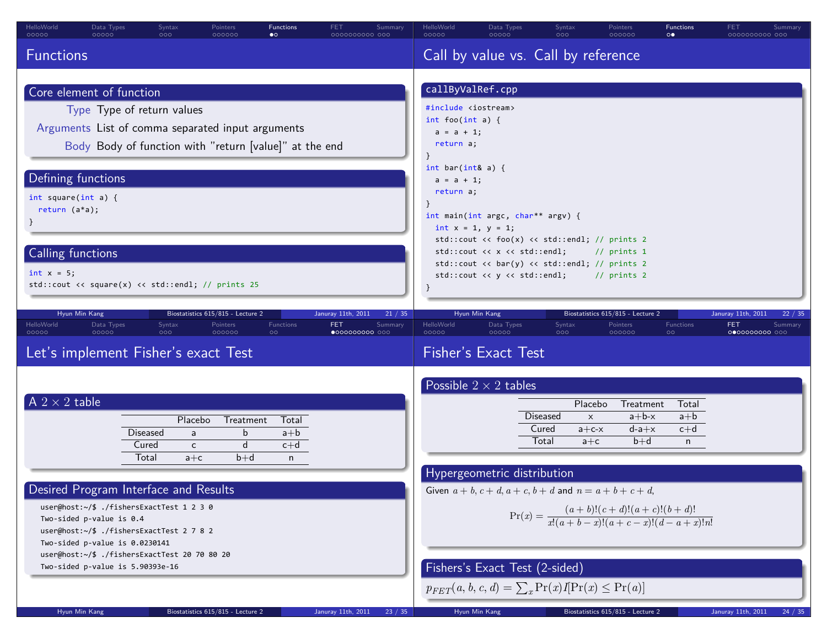| HelloWorld<br>Data Types<br>Syntax<br><b>Functions</b><br><b>FET</b><br>Summary<br>Pointers<br>00000<br>00000<br>000000<br>$\bullet$<br>0000000000 000<br>000                                                                                                                                                                                                                                            | HelloWorld<br>Data Types<br>Syntax<br><b>Functions</b><br>FET<br>Pointers<br>Summary<br>0000C<br>00000<br>ood<br>000000<br>$\circ \bullet$<br>0000000000 000                                                                                                                                                                                                                                                                                                                                                                                                                                                                 |
|----------------------------------------------------------------------------------------------------------------------------------------------------------------------------------------------------------------------------------------------------------------------------------------------------------------------------------------------------------------------------------------------------------|------------------------------------------------------------------------------------------------------------------------------------------------------------------------------------------------------------------------------------------------------------------------------------------------------------------------------------------------------------------------------------------------------------------------------------------------------------------------------------------------------------------------------------------------------------------------------------------------------------------------------|
| <b>Functions</b>                                                                                                                                                                                                                                                                                                                                                                                         | Call by value vs. Call by reference                                                                                                                                                                                                                                                                                                                                                                                                                                                                                                                                                                                          |
| Core element of function<br>Type Type of return values<br>Arguments List of comma separated input arguments<br>Body Body of function with "return [value]" at the end<br>Defining functions<br>int square(int a) {<br>return $(a*a);$<br>Calling functions<br>$int x = 5$<br>std::cout << square(x) << std::endl; // prints 25                                                                           | callByValRef.cpp<br>#include <iostream><br/>int foo(int a) {<br/><math>a = a + 1</math>;<br/>return a;<br/>int bar(int&amp; a) {<br/><math>a = a + 1;</math><br/>return a;<br/>int main(int argc, char** argv) {<br/>int <math>x = 1</math>, <math>y = 1</math>;<br/>std::cout <math>\langle \cdot \rangle</math> foo<math>(x)</math> <math>\langle \cdot \rangle</math> std::endl; // prints 2<br/>std::cout &lt;&lt; x &lt;&lt; std::endl;<br/><math>//</math> prints 1<br/>std::cout &lt;&lt; bar(y) &lt;&lt; std::endl; // prints 2<br/>std::cout &lt;&lt; y &lt;&lt; std::endl;<br/><math>//</math> prints 2</iostream> |
| Hyun Min Kang<br>Biostatistics 615/815 - Lecture 2<br>Januray 11th, 2011<br>21 / 35<br>HelloWorld<br>Data Types<br>Syntax<br>Pointers<br>Functions<br><b>FET</b><br>Summary<br>00000<br>000000<br>00000<br>000<br>$\circ$<br>$\bullet$ 0000000000 000<br>Let's implement Fisher's exact Test                                                                                                             | Hyun Min Kang<br>Biostatistics 615/815 - Lecture 2<br>Januray 11th, 2011<br>22/<br>HelloWorld<br>Data Types<br>Pointers<br>Functions<br>FET.<br>Syntax<br>Summary<br>00000<br>00000<br>000000<br>000<br>$\circ$<br>0000000000 000<br><b>Fisher's Exact Test</b>                                                                                                                                                                                                                                                                                                                                                              |
| $A$ 2 $\times$ 2 table<br>Placebo<br>Treatment<br>Total<br>Diseased<br>$a + b$<br>b<br>a<br>d<br>Cured<br>$c+d$<br>c<br>Total<br>$b+d$<br>$a + c$<br>n<br>Desired Program Interface and Results<br>user@host:~/\$ ./fishersExactTest 1 2 3 0<br>Two-sided p-value is 0.4<br>user@host:~/\$ ./fishersExactTest 2 7 8 2<br>Two-sided p-value is 0.0230141<br>user@host:~/\$ ./fishersExactTest 20 70 80 20 | Possible $2 \times 2$ tables<br>Placebo<br>Treatment<br>Total<br><b>Diseased</b><br>$a+b-x$<br>$a+b$<br>$\times$<br>Cured<br>$d-a+x$<br>$c+d$<br>$a + c - x$<br>Total<br>$b+d$<br>$a + c$<br>$\mathsf{n}$<br>Hypergeometric distribution<br>Given $a + b, c + d, a + c, b + d$ and $n = a + b + c + d$ ,<br>$Pr(x) = \frac{(a+b)!(c+d)!(a+c)!(b+d)!}{x!(a+b-x)!(a+c-x)!(d-a+x)!n!}$                                                                                                                                                                                                                                          |
| Two-sided p-value is 5.90393e-16                                                                                                                                                                                                                                                                                                                                                                         | Fishers's Exact Test (2-sided)                                                                                                                                                                                                                                                                                                                                                                                                                                                                                                                                                                                               |

 $p_{FET}(a, b, c, d) = \sum_{x} Pr(x)I[Pr(x) \le Pr(a)]$ 

 $p_{FET}(a, b, c, a) = \sum_{x} \Pr(x)I[\Pr(x) \leq \Pr(a)]$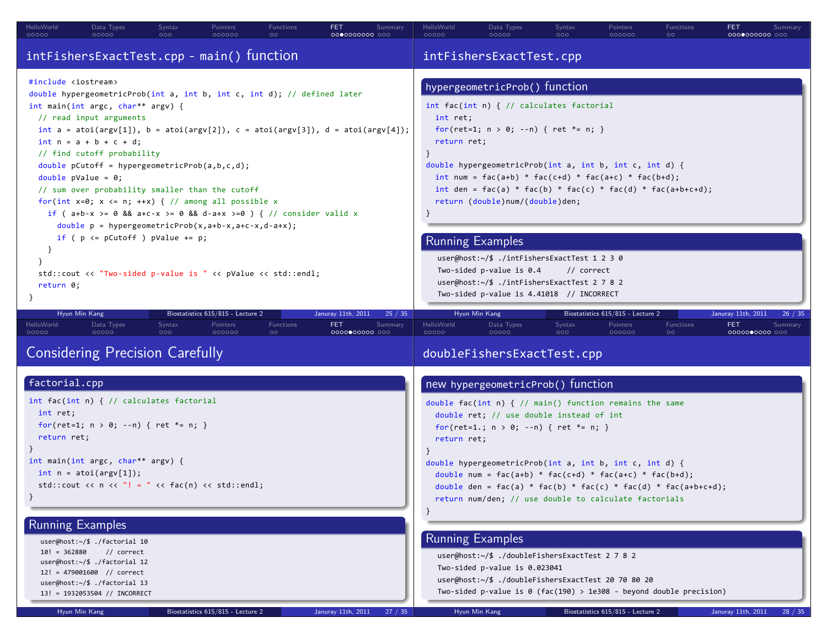| HelloWorld<br>Syntax<br>Data Types<br>Pointers<br>Functions<br>FET.<br>Summary<br>00000<br>000<br>00000<br>000000<br>0000000000 000                                                                                                                                                                                                                                                                                                                                                                                                                                                                                                                                                                                                                                                                                                                                                                                                                                                                                             | HelloWorld<br>Syntax<br><b>FET</b><br>Data Types<br>Pointers<br>Functions<br>Summary<br>00000<br>000000<br>00000<br>000<br>$\circ$<br>0000000000 000                                                                                                                                                                                                                                                                                                                                                                                                                                                                  |  |  |  |  |  |  |
|---------------------------------------------------------------------------------------------------------------------------------------------------------------------------------------------------------------------------------------------------------------------------------------------------------------------------------------------------------------------------------------------------------------------------------------------------------------------------------------------------------------------------------------------------------------------------------------------------------------------------------------------------------------------------------------------------------------------------------------------------------------------------------------------------------------------------------------------------------------------------------------------------------------------------------------------------------------------------------------------------------------------------------|-----------------------------------------------------------------------------------------------------------------------------------------------------------------------------------------------------------------------------------------------------------------------------------------------------------------------------------------------------------------------------------------------------------------------------------------------------------------------------------------------------------------------------------------------------------------------------------------------------------------------|--|--|--|--|--|--|
| intFishersExactTest.cpp - main() function                                                                                                                                                                                                                                                                                                                                                                                                                                                                                                                                                                                                                                                                                                                                                                                                                                                                                                                                                                                       | intFishersExactTest.cpp                                                                                                                                                                                                                                                                                                                                                                                                                                                                                                                                                                                               |  |  |  |  |  |  |
| #include <iostream><br/>double hypergeometricProb(int a, int b, int c, int d); // defined later<br/>int main(int argc, char** argv) {<br/>// read input arguments<br/>int <math>a = \text{atoi}(\text{argv}[1]), b = \text{atoi}(\text{argv}[2]), c = \text{atoi}(\text{argv}[3]), d = \text{atoi}(\text{argv}[4]);</math><br/><math>int n = a + b + c + d;</math><br/>// find cutoff probability<br/>double pCutoff = hypergeometricProb(a,b,c,d);<br/>double <math>pValue = 0</math>;<br/>// sum over probability smaller than the cutoff<br/>for(int x=0; x &lt;= n; ++x) { // among all possible x<br/>if ( <math>a+b-x</math> &gt;= 0 &amp;&amp; <math>a+c-x</math> &gt;= 0 &amp;&amp; d-a+x &gt;=0 ) { // consider valid x<br/><math>double p = hypergeometricProb(x, a+b-x, a+c-x, d-a+x);</math><br/>if ( <math>p \le p</math> Cutoff ) <math>p</math>Value += <math>p</math>;<br/>std::cout &lt;&lt; "Two-sided p-value is " &lt;&lt; pValue &lt;&lt; std::endl;<br/>return 0;<br/><math>\mathcal{F}</math></iostream> | hypergeometricProb() function<br>int fac(int n) { $//$ calculates factorial<br>int ret;<br>for(ret=1; $n > 0$ ; --n) { ret *= n; }<br>return ret;<br>$\mathcal{F}$<br>double hypergeometricProb(int a, int b, int c, int d) {<br>$int num = fac(a+b) * fac(c+d) * fac(a+c) * fac(b+d);$<br>int den = $fac(a) * fac(b) * fac(c) * fac(d) * fac(ab+ct)$ ;<br>return (double)num/(double)den;<br><b>Running Examples</b><br>user@host:~/\$ ./intFishersExactTest 1 2 3 0<br>Two-sided p-value is $0.4$<br>// correct<br>user@host: $\sim$ /\$ ./intFishersExactTest 2 7 8 2<br>Two-sided p-value is 4.41018 // INCORRECT |  |  |  |  |  |  |
| Biostatistics 615/815 - Lecture 2<br>Hyun Min Kang<br>Januray 11th, 2011<br>25 / 35<br>HelloWorld<br>Syntax<br>Functions<br>Data Types<br>Pointers<br>FET<br>Summary<br>00000<br>00000<br>000<br>000000<br>0000000000 000                                                                                                                                                                                                                                                                                                                                                                                                                                                                                                                                                                                                                                                                                                                                                                                                       | Biostatistics 615/815 - Lecture 2<br>Hyun Min Kang<br>Januray 11th, 2011<br>26 / 35<br>HelloWorld<br>Syntax<br>Functions<br>FET.<br>Data Types<br>Pointers<br>Summary<br>00000<br>00000<br>000<br>000000<br>0000000000 000                                                                                                                                                                                                                                                                                                                                                                                            |  |  |  |  |  |  |
| <b>Considering Precision Carefully</b>                                                                                                                                                                                                                                                                                                                                                                                                                                                                                                                                                                                                                                                                                                                                                                                                                                                                                                                                                                                          | doubleFishersExactTest.cpp                                                                                                                                                                                                                                                                                                                                                                                                                                                                                                                                                                                            |  |  |  |  |  |  |
| factorial.cpp<br>int fac(int n) { // calculates factorial<br>int ret;<br>for(ret=1; $n > 0$ ; --n) { ret *= n; }<br>return ret;<br>$\}$<br>int main(int argc, char** argv) {<br>int $n = \text{atoi}(\text{argv}[1]);$<br>std::cout << n << $"!= " << fac(n) << std::end1;$<br>}<br><b>Running Examples</b><br>user@host:~/\$ ./factorial 10<br>$10! = 362880$<br>// correct                                                                                                                                                                                                                                                                                                                                                                                                                                                                                                                                                                                                                                                    | new hypergeometricProb() function<br>double fac(int n) { $//$ main() function remains the same<br>double ret; // use double instead of int<br>for(ret=1.; $n > 0$ ; --n) { ret *= n; }<br>return ret;<br>double hypergeometricProb(int a, int b, int c, int d) {<br>double num = $fac(a+b) * fac(c+d) * fac(a+c) * fac(b+d);$<br>double den = $fac(a) * fac(b) * fac(c) * fac(d) * fac(ab+cd);$<br>return num/den; // use double to calculate factorials<br><b>Running Examples</b><br>user@host:~/\$ ./doubleFishersExactTest 2 7 8 2                                                                                |  |  |  |  |  |  |
| user@host: $\sim$ /\$ ./factorial 12<br>12! = 479001600 // correct<br>user@host:~/\$ ./factorial 13<br>13! = 1932053504 // INCORRECT<br>Hyun Min Kang<br>Biostatistics 615/815 - Lecture 2<br>Januray 11th, 2011<br>27 / 35                                                                                                                                                                                                                                                                                                                                                                                                                                                                                                                                                                                                                                                                                                                                                                                                     | Two-sided p-value is 0.023041<br>user@host:~/\$ ./doubleFishersExactTest 20 70 80 20<br>Two-sided p-value is $\theta$ (fac(190) > 1e308 - beyond double precision)<br>Hyun Min Kang<br>Biostatistics 615/815 - Lecture 2<br>Januray 11th, 2011<br>28 / 35                                                                                                                                                                                                                                                                                                                                                             |  |  |  |  |  |  |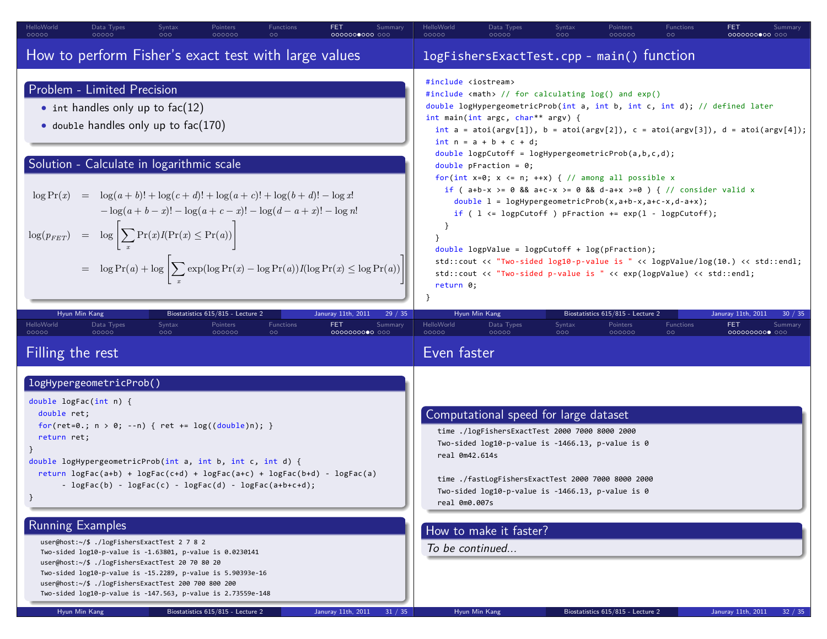| How to perform Fisher's exact test with large values<br>logFishersExactTest.cpp - main() function<br>#include <iostream><br/>Problem - Limited Precision<br/>#include <math> // for calculating <math>log()</math> and <math>exp()</math><br/>double logHypergeometricProb(int a, int b, int c, int d); // defined later<br/><math>\bullet</math> int handles only up to fac(12)<br/>int main(int argc, char** argv) {<br/>• double handles only up to <math>fac(170)</math><br/>int <math>a = \text{atoi(ary[1]), } b = \text{atoi(ary[2]), } c = \text{atoi(ary[3]), } d = \text{atoi(ary[4]); }</math><br/><math>int n = a + b + c + d;</math><br/>double logpCutoff = logHypergeometricProb(a,b,c,d);<br/>Solution - Calculate in logarithmic scale<br/>double pFraction = <math>0;</math><br/>for(int x=0; x &lt;= n; ++x) { // among all possible x<br/>if ( <math>a+b-x</math> &gt;= 0 &amp;&amp; <math>a+c-x</math> &gt;= 0 &amp;&amp; <math>d-a+x</math> &gt;=0 ) { // consider valid x<br/><math display="block">\log \Pr(x) = \log(a+b)! + \log(c+d)! + \log(a+c)! + \log(b+d)! - \log x!</math><br/>double <math>1 = \text{logHypergeometricProb}(x, a+b-x, a+c-x, d-a+x);</math><br/><math>-\log(a+b-x)! - \log(a+c-x)! - \log(d-a+x)! - \log n!</math><br/>if ( <math>l \leq 1</math> dogpCutoff ) pFraction += <math>exp(1 - logpCutoff)</math>;</math></iostream> |                                      |
|-----------------------------------------------------------------------------------------------------------------------------------------------------------------------------------------------------------------------------------------------------------------------------------------------------------------------------------------------------------------------------------------------------------------------------------------------------------------------------------------------------------------------------------------------------------------------------------------------------------------------------------------------------------------------------------------------------------------------------------------------------------------------------------------------------------------------------------------------------------------------------------------------------------------------------------------------------------------------------------------------------------------------------------------------------------------------------------------------------------------------------------------------------------------------------------------------------------------------------------------------------------------------------------------------------------------------------------------------------------------------------------|--------------------------------------|
|                                                                                                                                                                                                                                                                                                                                                                                                                                                                                                                                                                                                                                                                                                                                                                                                                                                                                                                                                                                                                                                                                                                                                                                                                                                                                                                                                                                   |                                      |
| $\log(p_{FET})$ = $\log \left  \sum_{x} \Pr(x) I(\Pr(x) \leq \Pr(a)) \right $<br>$double$ logpValue = logpCutoff + log(pFraction);<br>std::cout << "Two-sided log10-p-value is " << logpValue/log(10.) << std::endl;<br>$= \log \Pr(a) + \log \left  \sum_{x} \exp(\log \Pr(x) - \log \Pr(a)) I(\log \Pr(x) \leq \log \Pr(a)) \right $<br>std::cout << "Two-sided p-value is " << exp(logpValue) << std::endl;<br>return 0;                                                                                                                                                                                                                                                                                                                                                                                                                                                                                                                                                                                                                                                                                                                                                                                                                                                                                                                                                       |                                      |
| Hyun Min Kang<br>Biostatistics 615/815 - Lecture 2<br>Hyun Min Kang<br>Biostatistics 615/815 - Lecture 2<br>Januray 11th, 2011<br>29 / 35<br>Januray 11th, 2011<br>HelloWorld<br>Functions<br>HelloWorld<br>Functions<br>Data Types<br>Syntax<br>Pointers<br>Data Types<br>Syntax<br>Pointers<br>FET.<br>FET<br>Summary<br>00000<br>00000<br>000000<br>00000<br>00000<br>$\circ \circ$<br>000<br>00000000000 000<br>000<br>000000                                                                                                                                                                                                                                                                                                                                                                                                                                                                                                                                                                                                                                                                                                                                                                                                                                                                                                                                                 | 30 / 35<br>Summary<br>0000000000 000 |
| Even faster<br>Filling the rest                                                                                                                                                                                                                                                                                                                                                                                                                                                                                                                                                                                                                                                                                                                                                                                                                                                                                                                                                                                                                                                                                                                                                                                                                                                                                                                                                   |                                      |
| logHypergeometricProb()<br>double $logFac(int n)$ {                                                                                                                                                                                                                                                                                                                                                                                                                                                                                                                                                                                                                                                                                                                                                                                                                                                                                                                                                                                                                                                                                                                                                                                                                                                                                                                               |                                      |
| Computational speed for large dataset<br>double ret;<br>for(ret=0.; $n > 0$ ; --n) { ret += log((double)n); }<br>time ./logFishersExactTest 2000 7000 8000 2000<br>return ret;<br>Two-sided log10-p-value is -1466.13, p-value is 0<br>real 0m42.614s<br>double logHypergeometricProb(int a, int b, int c, int d) {<br>return $logFac(a+b) + logFac(c+d) + logFac(a+c) + logFac(b+d) - logFac(a)$<br>time ./fastLogFishersExactTest 2000 7000 8000 2000<br>- $logFac(b)$ - $logFac(c)$ - $logFac(d)$ - $logFac(ab+ct)$ ;<br>Two-sided log10-p-value is -1466.13, p-value is 0<br>}<br>real 0m0.007s                                                                                                                                                                                                                                                                                                                                                                                                                                                                                                                                                                                                                                                                                                                                                                               |                                      |
| Running Examples<br>How to make it faster?<br>user@host:~/\$ ./logFishersExactTest 2 7 8 2<br>To be continued<br>Two-sided log10-p-value is -1.63801, p-value is 0.0230141<br>user@host:~/\$ ./logFishersExactTest 20 70 80 20<br>Two-sided log10-p-value is -15.2289, p-value is 5.90393e-16<br>user@host:~/\$ ./logFishersExactTest 200 700 800 200<br>Two-sided log10-p-value is -147.563, p-value is 2.73559e-148                                                                                                                                                                                                                                                                                                                                                                                                                                                                                                                                                                                                                                                                                                                                                                                                                                                                                                                                                             |                                      |